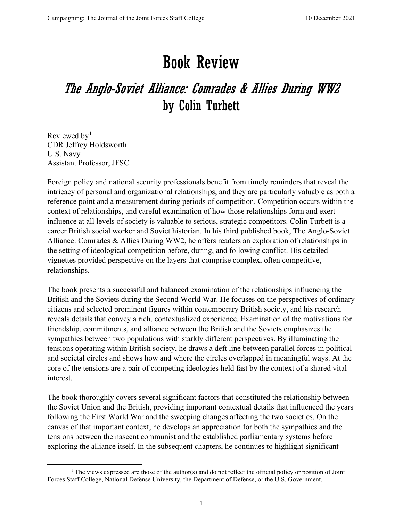## Book Review

## The Anglo-Soviet Alliance: Comrades & Allies During WW2 by Colin Turbett

Reviewed by<sup>[1](#page-0-0)</sup> CDR Jeffrey Holdsworth U.S. Navy Assistant Professor, JFSC

Foreign policy and national security professionals benefit from timely reminders that reveal the intricacy of personal and organizational relationships, and they are particularly valuable as both a reference point and a measurement during periods of competition. Competition occurs within the context of relationships, and careful examination of how those relationships form and exert influence at all levels of society is valuable to serious, strategic competitors. Colin Turbett is a career British social worker and Soviet historian. In his third published book, The Anglo-Soviet Alliance: Comrades & Allies During WW2, he offers readers an exploration of relationships in the setting of ideological competition before, during, and following conflict. His detailed vignettes provided perspective on the layers that comprise complex, often competitive, relationships.

The book presents a successful and balanced examination of the relationships influencing the British and the Soviets during the Second World War. He focuses on the perspectives of ordinary citizens and selected prominent figures within contemporary British society, and his research reveals details that convey a rich, contextualized experience. Examination of the motivations for friendship, commitments, and alliance between the British and the Soviets emphasizes the sympathies between two populations with starkly different perspectives. By illuminating the tensions operating within British society, he draws a deft line between parallel forces in political and societal circles and shows how and where the circles overlapped in meaningful ways. At the core of the tensions are a pair of competing ideologies held fast by the context of a shared vital interest.

The book thoroughly covers several significant factors that constituted the relationship between the Soviet Union and the British, providing important contextual details that influenced the years following the First World War and the sweeping changes affecting the two societies. On the canvas of that important context, he develops an appreciation for both the sympathies and the tensions between the nascent communist and the established parliamentary systems before exploring the alliance itself. In the subsequent chapters, he continues to highlight significant

<span id="page-0-0"></span><sup>&</sup>lt;sup>1</sup> The views expressed are those of the author(s) and do not reflect the official policy or position of Joint Forces Staff College, National Defense University, the Department of Defense, or the U.S. Government.